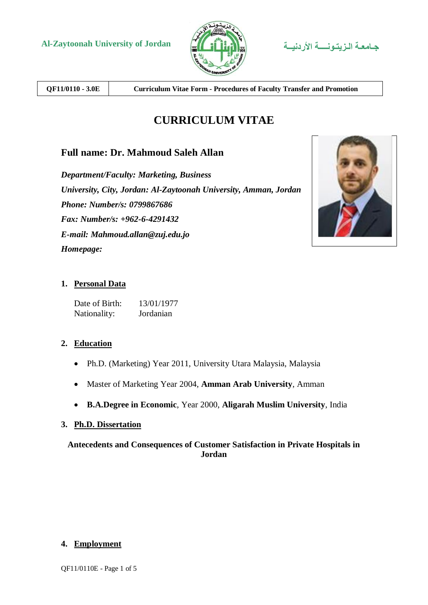

**QF11/0110 - 3.0E Curriculum Vitae Form - Procedures of Faculty Transfer and Promotion**

# **CURRICULUM VITAE**

# **Full name: Dr. Mahmoud Saleh Allan**

*Department/Faculty: Marketing, Business University, City, Jordan: Al-Zaytoonah University, Amman, Jordan Phone: Number/s: 0799867686 Fax: Number/s: +962-6-4291432 E-mail: Mahmoud.allan@zuj.edu.jo Homepage:*



# **1. Personal Data**

Date of Birth: 13/01/1977 Nationality: Jordanian

# **2. Education**

- Ph.D. (Marketing) Year 2011, University Utara Malaysia, Malaysia
- Master of Marketing Year 2004, **Amman Arab University**, Amman
- **B.A.Degree in Economic**, Year 2000, **Aligarah Muslim University**, India

#### **3. Ph.D. Dissertation**

# **Antecedents and Consequences of Customer Satisfaction in Private Hospitals in Jordan**

#### **4. Employment**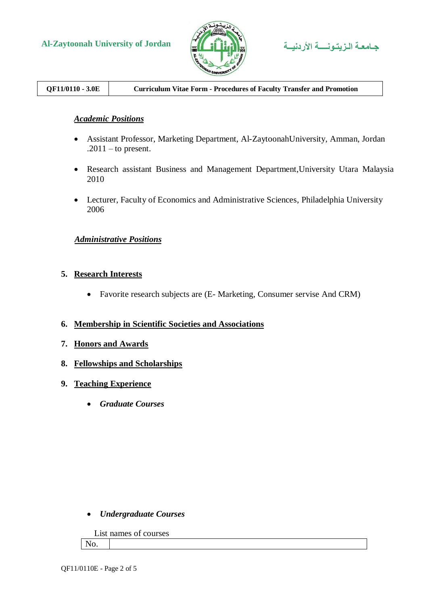

# **Al-Zaytoonah University of Jordan األردنيــة الـزيتـونــــة جـامعـة**

# **QF11/0110 - 3.0E Curriculum Vitae Form - Procedures of Faculty Transfer and Promotion**

#### *Academic Positions*

- Assistant Professor, Marketing Department, Al-ZaytoonahUniversity, Amman, Jordan  $.2011 -$  to present.
- Research assistant Business and Management Department,University Utara Malaysia 2010
- Lecturer, Faculty of Economics and Administrative Sciences, Philadelphia University 2006

#### *Administrative Positions*

#### **5. Research Interests**

Favorite research subjects are (E- Marketing, Consumer servise And CRM)

#### **6. Membership in Scientific Societies and Associations**

- **7. Honors and Awards**
- **8. Fellowships and Scholarships**
- **9. Teaching Experience**
	- *Graduate Courses*

#### *Undergraduate Courses*

|     |  | List names of courses |
|-----|--|-----------------------|
| No. |  |                       |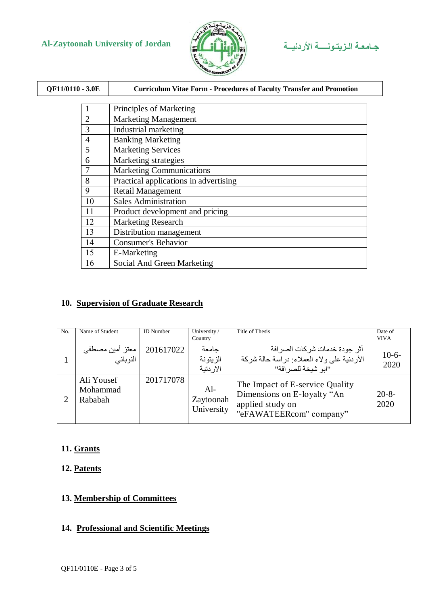# **Al-Zaytoonah University of Jordan األردنيــة الـزيتـونــــة جـامعـة**





| QF11/0110 - 3.0E | <b>Curriculum Vitae Form - Procedures of Faculty Transfer and Promotion</b> |
|------------------|-----------------------------------------------------------------------------|
|                  |                                                                             |
| 1                | Principles of Marketing                                                     |
| 2                | <b>Marketing Management</b>                                                 |
| 3                | Industrial marketing                                                        |
| $\overline{4}$   | <b>Banking Marketing</b>                                                    |
| 5                | <b>Marketing Services</b>                                                   |
| 6                | Marketing strategies                                                        |
| 7                | <b>Marketing Communications</b>                                             |
| 8                | Practical applications in advertising                                       |
| 9                | <b>Retail Management</b>                                                    |
| 10               | <b>Sales Administration</b>                                                 |
| 11               | Product development and pricing                                             |
| 12               | <b>Marketing Research</b>                                                   |
| 13               | Distribution management                                                     |
| 14               | <b>Consumer's Behavior</b>                                                  |
| 15               | E-Marketing                                                                 |
| 16               | Social And Green Marketing                                                  |

#### **10. Supervision of Graduate Research**

| N <sub>0</sub> | Name of Student                   | <b>ID</b> Number | University/<br>Country           | Title of Thesis                                                                                               | Date of<br><b>VIVA</b> |
|----------------|-----------------------------------|------------------|----------------------------------|---------------------------------------------------------------------------------------------------------------|------------------------|
|                | معتز أمين مصطفى<br>النوباني       | 201617022        | حامعة<br>الز يتونة<br>الار دتبة  | أثر   جو دة خدمات شر كات الصر افة<br>الأردنية على ولاء العملاء: دراسة حالة شركة<br>"ابو شبخة للصر افة"        | $10-6-$<br>2020        |
|                | Ali Yousef<br>Mohammad<br>Rababah | 201717078        | $Al-$<br>Zaytoonah<br>University | The Impact of E-service Quality<br>Dimensions on E-loyalty "An<br>applied study on<br>"eFAWATEERcom" company" | $20 - 8 -$<br>2020     |

### **11. Grants**

# **12. Patents**

#### **13. Membership of Committees**

# **14. Professional and Scientific Meetings**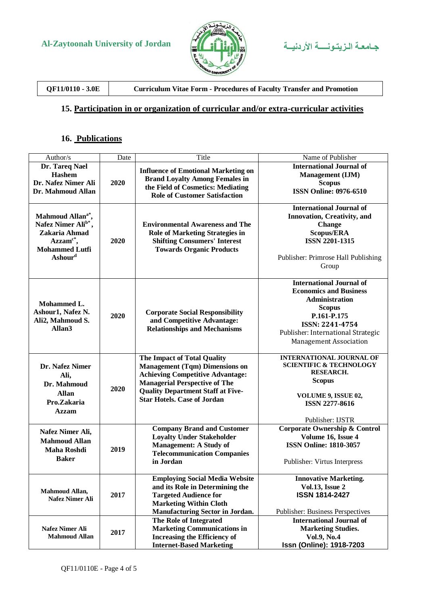



**QF11/0110 - 3.0E Curriculum Vitae Form - Procedures of Faculty Transfer and Promotion**

#### **15. Participation in or organization of curricular and/or extra-curricular activities**

# **16. Publications**

| Author/s                                                                                                                                        | Date | Title                                                                                                                                                                                                                                            | Name of Publisher                                                                                                                                                                                                   |
|-------------------------------------------------------------------------------------------------------------------------------------------------|------|--------------------------------------------------------------------------------------------------------------------------------------------------------------------------------------------------------------------------------------------------|---------------------------------------------------------------------------------------------------------------------------------------------------------------------------------------------------------------------|
| Dr. Tareq Nael<br><b>Hashem</b><br>Dr. Nafez Nimer Ali<br>Dr. Mahmoud Allan                                                                     | 2020 | <b>Influence of Emotional Marketing on</b><br><b>Brand Loyalty Among Females in</b><br>the Field of Cosmetics: Mediating<br><b>Role of Customer Satisfaction</b>                                                                                 | <b>International Journal of</b><br>Management (IJM)<br><b>Scopus</b><br><b>ISSN Online: 0976-6510</b>                                                                                                               |
| Mahmoud Allan <sup>a*</sup> ,<br>Nafez Nimer Ali <sup>b*</sup> ,<br>Zakaria Ahmad<br>$Azzamc*,$<br><b>Mohammed Lutfi</b><br>Ashour <sup>d</sup> | 2020 | <b>Environmental Awareness and The</b><br><b>Role of Marketing Strategies in</b><br><b>Shifting Consumers' Interest</b><br><b>Towards Organic Products</b>                                                                                       | <b>International Journal of</b><br><b>Innovation, Creativity, and</b><br><b>Change</b><br>Scopus/ERA<br><b>ISSN 2201-1315</b><br>Publisher: Primrose Hall Publishing<br>Group                                       |
| Mohammed L.<br>Ashour1, Nafez N.<br>Ali2, Mahmoud S.<br>Allan <sub>3</sub>                                                                      | 2020 | <b>Corporate Social Responsibility</b><br>and Competitive Advantage:<br><b>Relationships and Mechanisms</b>                                                                                                                                      | <b>International Journal of</b><br><b>Economics and Business</b><br><b>Administration</b><br><b>Scopus</b><br>P.161-P.175<br>ISSN: 2241-4754<br>Publisher: International Strategic<br><b>Management Association</b> |
| Dr. Nafez Nimer<br>Ali,<br>Dr. Mahmoud<br><b>Allan</b><br>Pro.Zakaria<br><b>Azzam</b>                                                           | 2020 | <b>The Impact of Total Quality</b><br><b>Management (Tqm) Dimensions on</b><br><b>Achieving Competitive Advantage:</b><br><b>Managerial Perspective of The</b><br><b>Quality Department Staff at Five-</b><br><b>Star Hotels. Case of Jordan</b> | <b>INTERNATIONAL JOURNAL OF</b><br><b>SCIENTIFIC &amp; TECHNOLOGY</b><br><b>RESEARCH.</b><br><b>Scopus</b><br><b>VOLUME 9, ISSUE 02,</b><br><b>ISSN 2277-8616</b><br>Publisher: IJSTR                               |
| Nafez Nimer Ali,<br><b>Mahmoud Allan</b><br><b>Maha Roshdi</b><br><b>Baker</b>                                                                  | 2019 | <b>Company Brand and Customer</b><br><b>Loyalty Under Stakeholder</b><br><b>Management: A Study of</b><br><b>Telecommunication Companies</b><br>in Jordan                                                                                        | <b>Corporate Ownership &amp; Control</b><br>Volume 16, Issue 4<br><b>ISSN Online: 1810-3057</b><br>Publisher: Virtus Interpress                                                                                     |
| <b>Mahmoud Allan,</b><br>Nafez Nimer Ali                                                                                                        | 2017 | <b>Employing Social Media Website</b><br>and its Role in Determining the<br><b>Targeted Audience for</b><br><b>Marketing Within Cloth</b><br><b>Manufacturing Sector in Jordan.</b>                                                              | <b>Innovative Marketing.</b><br><b>Vol.13, Issue 2</b><br><b>ISSN 1814-2427</b><br><b>Publisher: Business Perspectives</b>                                                                                          |
| <b>Nafez Nimer Ali</b><br><b>Mahmoud Allan</b>                                                                                                  | 2017 | The Role of Integrated<br><b>Marketing Communications in</b><br><b>Increasing the Efficiency of</b><br><b>Internet-Based Marketing</b>                                                                                                           | <b>International Journal of</b><br><b>Marketing Studies.</b><br>Vol.9, No.4<br>Issn (Online): 1918-7203                                                                                                             |